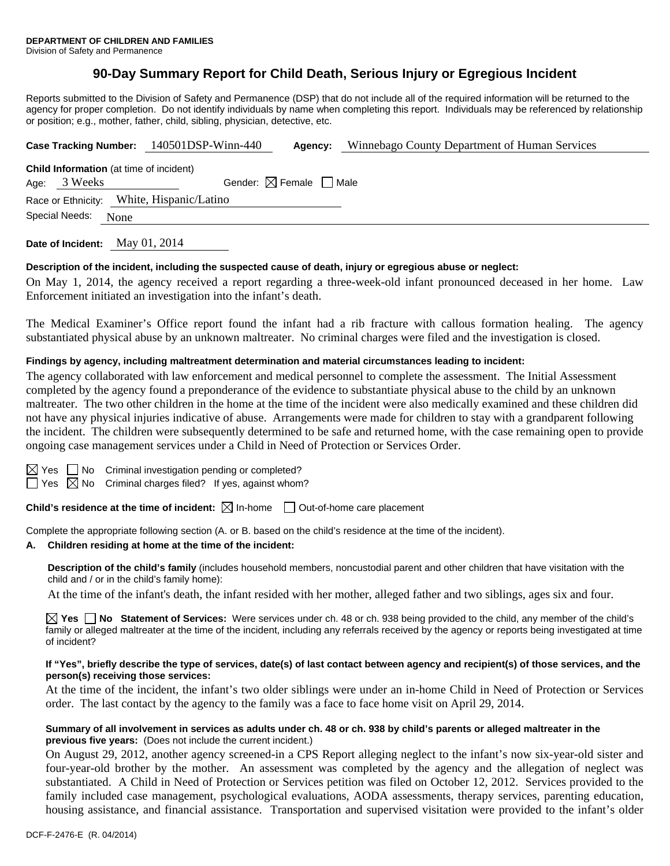# **90-Day Summary Report for Child Death, Serious Injury or Egregious Incident**

Reports submitted to the Division of Safety and Permanence (DSP) that do not include all of the required information will be returned to the agency for proper completion. Do not identify individuals by name when completing this report. Individuals may be referenced by relationship or position; e.g., mother, father, child, sibling, physician, detective, etc.

| Case Tracking Number: 140501DSP-Winn-440                                                                 |  |  | Agency: | Winnebago County Department of Human Services |  |  |  |
|----------------------------------------------------------------------------------------------------------|--|--|---------|-----------------------------------------------|--|--|--|
| <b>Child Information</b> (at time of incident)<br>Gender: $\boxtimes$ Female $\Box$ Male<br>Age: 3 Weeks |  |  |         |                                               |  |  |  |
| Race or Ethnicity: White, Hispanic/Latino<br>Special Needs:<br>None                                      |  |  |         |                                               |  |  |  |

**Date of Incident:** May 01, 2014

### **Description of the incident, including the suspected cause of death, injury or egregious abuse or neglect:**

On May 1, 2014, the agency received a report regarding a three-week-old infant pronounced deceased in her home. Law Enforcement initiated an investigation into the infant's death.

The Medical Examiner's Office report found the infant had a rib fracture with callous formation healing. The agency substantiated physical abuse by an unknown maltreater. No criminal charges were filed and the investigation is closed.

### **Findings by agency, including maltreatment determination and material circumstances leading to incident:**

The agency collaborated with law enforcement and medical personnel to complete the assessment. The Initial Assessment completed by the agency found a preponderance of the evidence to substantiate physical abuse to the child by an unknown maltreater. The two other children in the home at the time of the incident were also medically examined and these children did not have any physical injuries indicative of abuse. Arrangements were made for children to stay with a grandparent following the incident. The children were subsequently determined to be safe and returned home, with the case remaining open to provide ongoing case management services under a Child in Need of Protection or Services Order.

 $\Box$  No Criminal investigation pending or completed?

 $\Box$  Yes  $\boxtimes$  No Criminal charges filed? If yes, against whom?

**Child's residence at the time of incident:**  $\boxtimes$  In-home  $\Box$  Out-of-home care placement

Complete the appropriate following section (A. or B. based on the child's residence at the time of the incident).

#### **A. Children residing at home at the time of the incident:**

**Description of the child's family** (includes household members, noncustodial parent and other children that have visitation with the child and / or in the child's family home):

At the time of the infant's death, the infant resided with her mother, alleged father and two siblings, ages six and four.

**Yes No Statement of Services:** Were services under ch. 48 or ch. 938 being provided to the child, any member of the child's family or alleged maltreater at the time of the incident, including any referrals received by the agency or reports being investigated at time of incident?

#### **If "Yes", briefly describe the type of services, date(s) of last contact between agency and recipient(s) of those services, and the person(s) receiving those services:**

At the time of the incident, the infant's two older siblings were under an in-home Child in Need of Protection or Services order. The last contact by the agency to the family was a face to face home visit on April 29, 2014.

#### **Summary of all involvement in services as adults under ch. 48 or ch. 938 by child's parents or alleged maltreater in the previous five years:** (Does not include the current incident.)

On August 29, 2012, another agency screened-in a CPS Report alleging neglect to the infant's now six-year-old sister and four-year-old brother by the mother. An assessment was completed by the agency and the allegation of neglect was substantiated. A Child in Need of Protection or Services petition was filed on October 12, 2012. Services provided to the family included case management, psychological evaluations, AODA assessments, therapy services, parenting education, housing assistance, and financial assistance. Transportation and supervised visitation were provided to the infant's older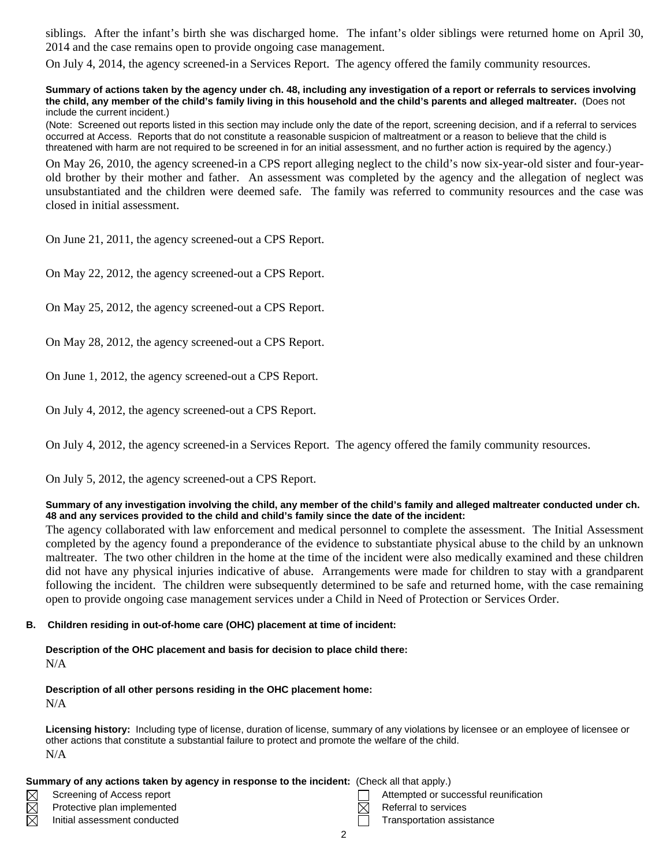siblings. After the infant's birth she was discharged home. The infant's older siblings were returned home on April 30, 2014 and the case remains open to provide ongoing case management.

On July 4, 2014, the agency screened-in a Services Report. The agency offered the family community resources.

#### **Summary of actions taken by the agency under ch. 48, including any investigation of a report or referrals to services involving the child, any member of the child's family living in this household and the child's parents and alleged maltreater.** (Does not include the current incident.)

(Note: Screened out reports listed in this section may include only the date of the report, screening decision, and if a referral to services occurred at Access. Reports that do not constitute a reasonable suspicion of maltreatment or a reason to believe that the child is threatened with harm are not required to be screened in for an initial assessment, and no further action is required by the agency.)

On May 26, 2010, the agency screened-in a CPS report alleging neglect to the child's now six-year-old sister and four-yearold brother by their mother and father. An assessment was completed by the agency and the allegation of neglect was unsubstantiated and the children were deemed safe. The family was referred to community resources and the case was closed in initial assessment.

On June 21, 2011, the agency screened-out a CPS Report.

On May 22, 2012, the agency screened-out a CPS Report.

On May 25, 2012, the agency screened-out a CPS Report.

On May 28, 2012, the agency screened-out a CPS Report.

On June 1, 2012, the agency screened-out a CPS Report.

On July 4, 2012, the agency screened-out a CPS Report.

On July 4, 2012, the agency screened-in a Services Report. The agency offered the family community resources.

On July 5, 2012, the agency screened-out a CPS Report.

#### **Summary of any investigation involving the child, any member of the child's family and alleged maltreater conducted under ch. 48 and any services provided to the child and child's family since the date of the incident:**

The agency collaborated with law enforcement and medical personnel to complete the assessment. The Initial Assessment completed by the agency found a preponderance of the evidence to substantiate physical abuse to the child by an unknown maltreater. The two other children in the home at the time of the incident were also medically examined and these children did not have any physical injuries indicative of abuse. Arrangements were made for children to stay with a grandparent following the incident. The children were subsequently determined to be safe and returned home, with the case remaining open to provide ongoing case management services under a Child in Need of Protection or Services Order.

### **B. Children residing in out-of-home care (OHC) placement at time of incident:**

#### **Description of the OHC placement and basis for decision to place child there:** N/A

# **Description of all other persons residing in the OHC placement home:**

N/A

M

**Licensing history:** Including type of license, duration of license, summary of any violations by licensee or an employee of licensee or other actions that constitute a substantial failure to protect and promote the welfare of the child. N/A

### **Summary of any actions taken by agency in response to the incident:** (Check all that apply.)

- Screening of Access report Attempted or successful reunification
- Protective plan implemented  $\boxtimes$  Referral to services
- Initial assessment conducted Transportation assistance